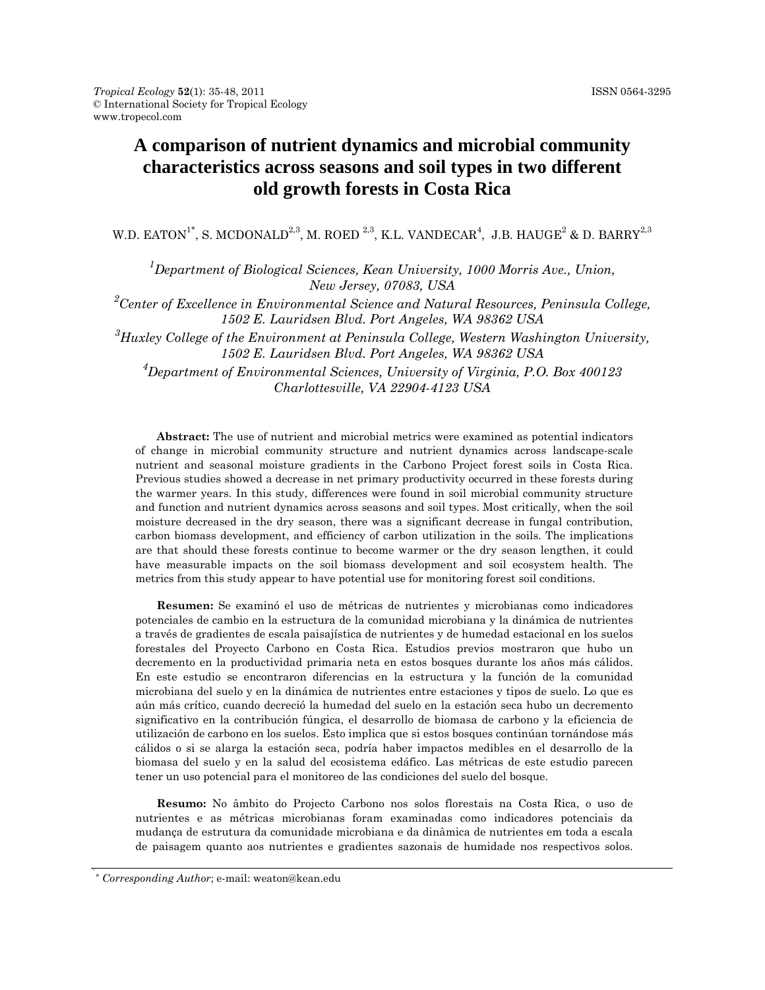# **A comparison of nutrient dynamics and microbial community characteristics across seasons and soil types in two different old growth forests in Costa Rica**

W.D. EATON $^{\mathbf{1}^*}$ , S. MCDONALD $^{2,3}$ , M. ROED  $^{2,3}$ , K.L. VANDECAR $^4$ , J.B. HAUGE $^2$  & D. BARRY $^{2,3}$ 

<sup>1</sup>Department of Biological Sciences, Kean University, 1000 Morris Ave., Union, *New Jersey, 07083, USA* 

*2 Center of Excellence in Environmental Science and Natural Resources, Peninsula College, 1502 E. Lauridsen Blvd. Port Angeles, WA 98362 USA* 

*3 Huxley College of the Environment at Peninsula College, Western Washington University, 1502 E. Lauridsen Blvd. Port Angeles, WA 98362 USA* 

*4 Department of Environmental Sciences, University of Virginia, P.O. Box 400123 Charlottesville, VA 22904-4123 USA* 

**Abstract:** The use of nutrient and microbial metrics were examined as potential indicators of change in microbial community structure and nutrient dynamics across landscape-scale nutrient and seasonal moisture gradients in the Carbono Project forest soils in Costa Rica. Previous studies showed a decrease in net primary productivity occurred in these forests during the warmer years. In this study, differences were found in soil microbial community structure and function and nutrient dynamics across seasons and soil types. Most critically, when the soil moisture decreased in the dry season, there was a significant decrease in fungal contribution, carbon biomass development, and efficiency of carbon utilization in the soils. The implications are that should these forests continue to become warmer or the dry season lengthen, it could have measurable impacts on the soil biomass development and soil ecosystem health. The metrics from this study appear to have potential use for monitoring forest soil conditions.

**Resumen:** Se examinó el uso de métricas de nutrientes y microbianas como indicadores potenciales de cambio en la estructura de la comunidad microbiana y la dinámica de nutrientes a través de gradientes de escala paisajística de nutrientes y de humedad estacional en los suelos forestales del Proyecto Carbono en Costa Rica. Estudios previos mostraron que hubo un decremento en la productividad primaria neta en estos bosques durante los años más cálidos. En este estudio se encontraron diferencias en la estructura y la función de la comunidad microbiana del suelo y en la dinámica de nutrientes entre estaciones y tipos de suelo. Lo que es aún más crítico, cuando decreció la humedad del suelo en la estación seca hubo un decremento significativo en la contribución fúngica, el desarrollo de biomasa de carbono y la eficiencia de utilización de carbono en los suelos. Esto implica que si estos bosques continúan tornándose más cálidos o si se alarga la estación seca, podría haber impactos medibles en el desarrollo de la biomasa del suelo y en la salud del ecosistema edáfico. Las métricas de este estudio parecen tener un uso potencial para el monitoreo de las condiciones del suelo del bosque.

**Resumo:** No âmbito do Projecto Carbono nos solos florestais na Costa Rica, o uso de nutrientes e as métricas microbianas foram examinadas como indicadores potenciais da mudança de estrutura da comunidade microbiana e da dinâmica de nutrientes em toda a escala de paisagem quanto aos nutrientes e gradientes sazonais de humidade nos respectivos solos.

<sup>\*</sup> *Corresponding Author*; e-mail: weaton@kean.edu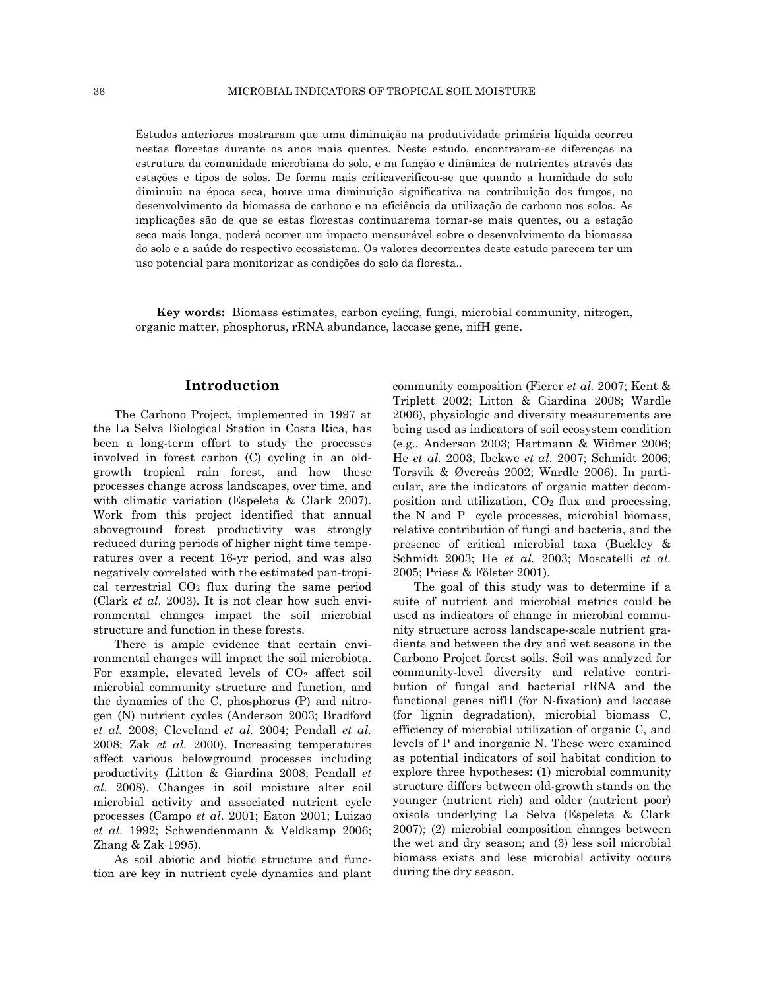Estudos anteriores mostraram que uma diminuição na produtividade primária líquida ocorreu nestas florestas durante os anos mais quentes. Neste estudo, encontraram-se diferenças na estrutura da comunidade microbiana do solo, e na função e dinâmica de nutrientes através das estações e tipos de solos. De forma mais críticaverificou-se que quando a humidade do solo diminuiu na época seca, houve uma diminuição significativa na contribuição dos fungos, no desenvolvimento da biomassa de carbono e na eficiência da utilização de carbono nos solos. As implicações são de que se estas florestas continuarema tornar-se mais quentes, ou a estação seca mais longa, poderá ocorrer um impacto mensurável sobre o desenvolvimento da biomassa do solo e a saúde do respectivo ecossistema. Os valores decorrentes deste estudo parecem ter um uso potencial para monitorizar as condições do solo da floresta..

**Key words:** Biomass estimates, carbon cycling, fungi, microbial community, nitrogen, organic matter, phosphorus, rRNA abundance, laccase gene, nifH gene.

## **Introduction**

The Carbono Project, implemented in 1997 at the La Selva Biological Station in Costa Rica, has been a long-term effort to study the processes involved in forest carbon (C) cycling in an oldgrowth tropical rain forest, and how these processes change across landscapes, over time, and with climatic variation (Espeleta & Clark 2007). Work from this project identified that annual aboveground forest productivity was strongly reduced during periods of higher night time temperatures over a recent 16-yr period, and was also negatively correlated with the estimated pan-tropical terrestrial  $CO<sub>2</sub>$  flux during the same period (Clark *et al*. 2003). It is not clear how such environmental changes impact the soil microbial structure and function in these forests.

There is ample evidence that certain environmental changes will impact the soil microbiota. For example, elevated levels of  $CO<sub>2</sub>$  affect soil microbial community structure and function, and the dynamics of the C, phosphorus (P) and nitrogen (N) nutrient cycles (Anderson 2003; Bradford *et al.* 2008; Cleveland *et al.* 2004; Pendall *et al.* 2008; Zak *et al.* 2000). Increasing temperatures affect various belowground processes including productivity (Litton & Giardina 2008; Pendall *et al*. 2008). Changes in soil moisture alter soil microbial activity and associated nutrient cycle processes (Campo *et al*. 2001; Eaton 2001; Luizao *et al*. 1992; Schwendenmann & Veldkamp 2006; Zhang & Zak 1995).

As soil abiotic and biotic structure and function are key in nutrient cycle dynamics and plant community composition (Fierer *et al.* 2007; Kent & Triplett 2002; Litton & Giardina 2008; Wardle 2006), physiologic and diversity measurements are being used as indicators of soil ecosystem condition (e.g., Anderson 2003; Hartmann & Widmer 2006; He *et al.* 2003; Ibekwe *et al*. 2007; Schmidt 2006; Torsvik & Øvereås 2002; Wardle 2006). In particular, are the indicators of organic matter decomposition and utilization,  $CO<sub>2</sub>$  flux and processing, the N and P cycle processes, microbial biomass, relative contribution of fungi and bacteria, and the presence of critical microbial taxa (Buckley & Schmidt 2003; He *et al.* 2003; Moscatelli *et al.* 2005; Priess & Fölster 2001).

The goal of this study was to determine if a suite of nutrient and microbial metrics could be used as indicators of change in microbial community structure across landscape-scale nutrient gradients and between the dry and wet seasons in the Carbono Project forest soils. Soil was analyzed for community-level diversity and relative contribution of fungal and bacterial rRNA and the functional genes nifH (for N-fixation) and laccase (for lignin degradation), microbial biomass C, efficiency of microbial utilization of organic C, and levels of P and inorganic N. These were examined as potential indicators of soil habitat condition to explore three hypotheses: (1) microbial community structure differs between old-growth stands on the younger (nutrient rich) and older (nutrient poor) oxisols underlying La Selva (Espeleta & Clark 2007); (2) microbial composition changes between the wet and dry season; and (3) less soil microbial biomass exists and less microbial activity occurs during the dry season.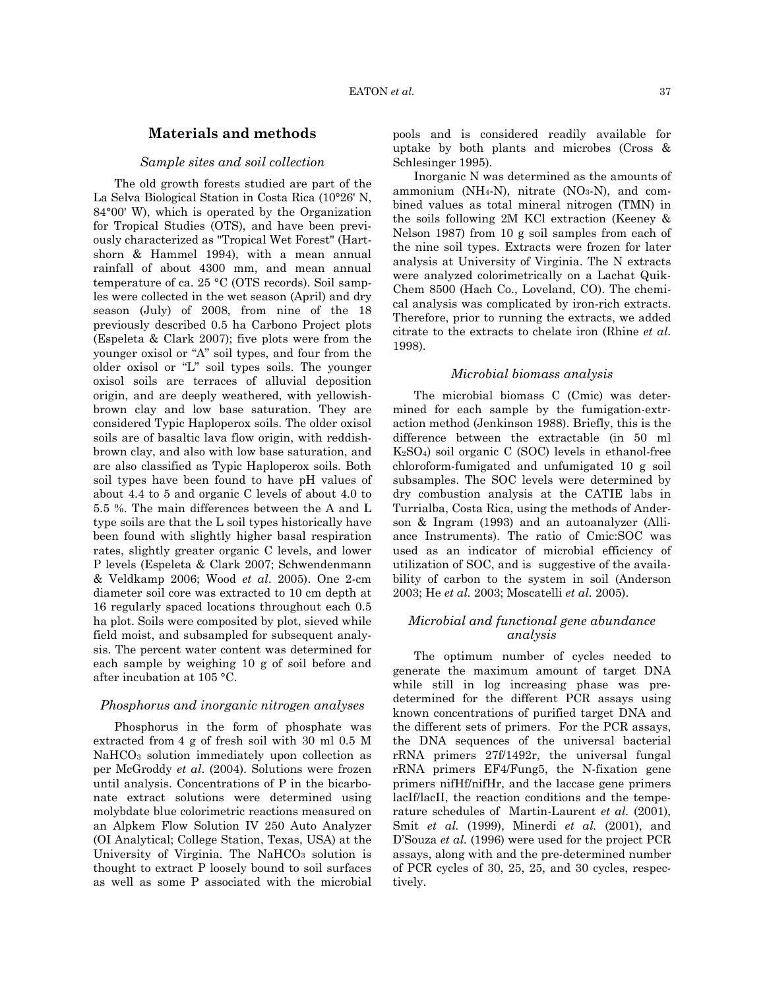## **Materials and methods**

#### *Sample sites and soil collection*

The old growth forests studied are part of the La Selva Biological Station in Costa Rica (10°26' N, 84°00' W), which is operated by the Organization for Tropical Studies (OTS), and have been previously characterized as "Tropical Wet Forest" (Hartshorn & Hammel 1994), with a mean annual rainfall of about 4300 mm, and mean annual temperature of ca. 25 °C (OTS records). Soil samples were collected in the wet season (April) and dry season (July) of 2008, from nine of the 18 previously described 0.5 ha Carbono Project plots (Espeleta & Clark 2007); five plots were from the younger oxisol or "A" soil types, and four from the older oxisol or "L" soil types soils. The younger oxisol soils are terraces of alluvial deposition origin, and are deeply weathered, with yellowishbrown clay and low base saturation. They are considered Typic Haploperox soils. The older oxisol soils are of basaltic lava flow origin, with reddishbrown clay, and also with low base saturation, and are also classified as Typic Haploperox soils. Both soil types have been found to have pH values of about 4.4 to 5 and organic C levels of about 4.0 to 5.5 %. The main differences between the A and L type soils are that the L soil types historically have been found with slightly higher basal respiration rates, slightly greater organic C levels, and lower P levels (Espeleta & Clark 2007; Schwendenmann & Veldkamp 2006; Wood *et al*. 2005). One 2-cm diameter soil core was extracted to 10 cm depth at 16 regularly spaced locations throughout each 0.5 ha plot. Soils were composited by plot, sieved while field moist, and subsampled for subsequent analysis. The percent water content was determined for each sample by weighing 10 g of soil before and after incubation at 105 °C.

#### *Phosphorus and inorganic nitrogen analyses*

Phosphorus in the form of phosphate was extracted from 4 g of fresh soil with 30 ml 0.5 M NaHCO3 solution immediately upon collection as per McGroddy *et al*. (2004). Solutions were frozen until analysis. Concentrations of P in the bicarbonate extract solutions were determined using molybdate blue colorimetric reactions measured on an Alpkem Flow Solution IV 250 Auto Analyzer (OI Analytical; College Station, Texas, USA) at the University of Virginia. The NaHCO<sub>3</sub> solution is thought to extract P loosely bound to soil surfaces as well as some P associated with the microbial pools and is considered readily available for uptake by both plants and microbes (Cross & Schlesinger 1995).

Inorganic N was determined as the amounts of ammonium (NH<sub>4</sub>-N), nitrate (NO<sub>3</sub>-N), and combined values as total mineral nitrogen (TMN) in the soils following 2M KCl extraction (Keeney & Nelson 1987) from 10 g soil samples from each of the nine soil types. Extracts were frozen for later analysis at University of Virginia. The N extracts were analyzed colorimetrically on a Lachat Quik-Chem 8500 (Hach Co., Loveland, CO). The chemical analysis was complicated by iron-rich extracts. Therefore, prior to running the extracts, we added citrate to the extracts to chelate iron (Rhine *et al.* 1998).

## *Microbial biomass analysis*

The microbial biomass C (Cmic) was determined for each sample by the fumigation-extraction method (Jenkinson 1988). Briefly, this is the difference between the extractable (in 50 ml K2SO4) soil organic C (SOC) levels in ethanol-free chloroform-fumigated and unfumigated 10 g soil subsamples. The SOC levels were determined by dry combustion analysis at the CATIE labs in Turrialba, Costa Rica, using the methods of Anderson & Ingram (1993) and an autoanalyzer (Alliance Instruments). The ratio of Cmic:SOC was used as an indicator of microbial efficiency of utilization of SOC, and is suggestive of the availability of carbon to the system in soil (Anderson 2003; He *et al.* 2003; Moscatelli *et al.* 2005).

## *Microbial and functional gene abundance analysis*

The optimum number of cycles needed to generate the maximum amount of target DNA while still in log increasing phase was predetermined for the different PCR assays using known concentrations of purified target DNA and the different sets of primers. For the PCR assays, the DNA sequences of the universal bacterial rRNA primers 27f/1492r, the universal fungal rRNA primers EF4/Fung5, the N-fixation gene primers nifHf/nifHr, and the laccase gene primers lacIf/lacII, the reaction conditions and the temperature schedules of Martin-Laurent *et al.* (2001), Smit *et al.* (1999), Minerdi *et al.* (2001), and D'Souza *et al.* (1996) were used for the project PCR assays, along with and the pre-determined number of PCR cycles of 30, 25, 25, and 30 cycles, respectively.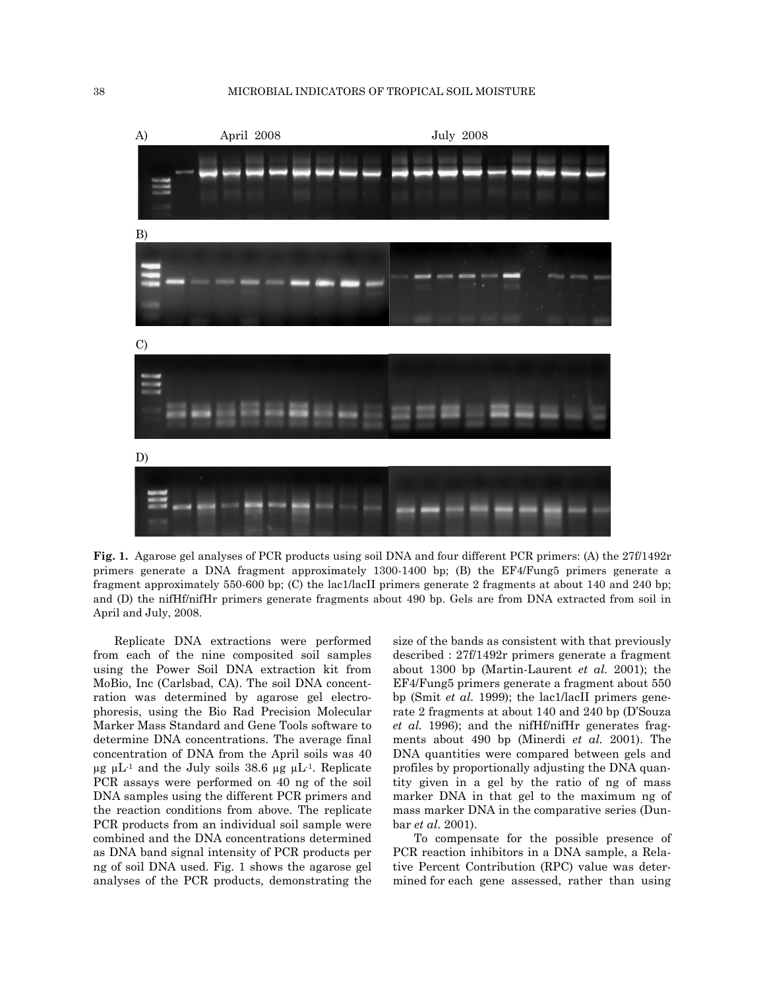

**Fig. 1.** Agarose gel analyses of PCR products using soil DNA and four different PCR primers: (A) the 27f/1492r primers generate a DNA fragment approximately 1300-1400 bp; (B) the EF4/Fung5 primers generate a fragment approximately 550-600 bp; (C) the lac1/lacII primers generate 2 fragments at about 140 and 240 bp; and (D) the nifHf/nifHr primers generate fragments about 490 bp. Gels are from DNA extracted from soil in April and July, 2008.

Replicate DNA extractions were performed from each of the nine composited soil samples using the Power Soil DNA extraction kit from MoBio, Inc (Carlsbad, CA). The soil DNA concentration was determined by agarose gel electrophoresis, using the Bio Rad Precision Molecular Marker Mass Standard and Gene Tools software to determine DNA concentrations. The average final concentration of DNA from the April soils was 40  $\mu$ g  $\mu$ L<sup>-1</sup> and the July soils 38.6  $\mu$ g  $\mu$ L<sup>-1</sup>. Replicate PCR assays were performed on 40 ng of the soil DNA samples using the different PCR primers and the reaction conditions from above. The replicate PCR products from an individual soil sample were combined and the DNA concentrations determined as DNA band signal intensity of PCR products per ng of soil DNA used. Fig. 1 shows the agarose gel analyses of the PCR products, demonstrating the size of the bands as consistent with that previously described : 27f/1492r primers generate a fragment about 1300 bp (Martin-Laurent *et al.* 2001); the EF4/Fung5 primers generate a fragment about 550 bp (Smit *et al.* 1999); the lac1/lacII primers generate 2 fragments at about 140 and 240 bp (D'Souza *et al.* 1996); and the nifHf/nifHr generates fragments about 490 bp (Minerdi *et al.* 2001). The DNA quantities were compared between gels and profiles by proportionally adjusting the DNA quantity given in a gel by the ratio of ng of mass marker DNA in that gel to the maximum ng of mass marker DNA in the comparative series (Dunbar *et al*. 2001).

To compensate for the possible presence of PCR reaction inhibitors in a DNA sample, a Relative Percent Contribution (RPC) value was determined for each gene assessed, rather than using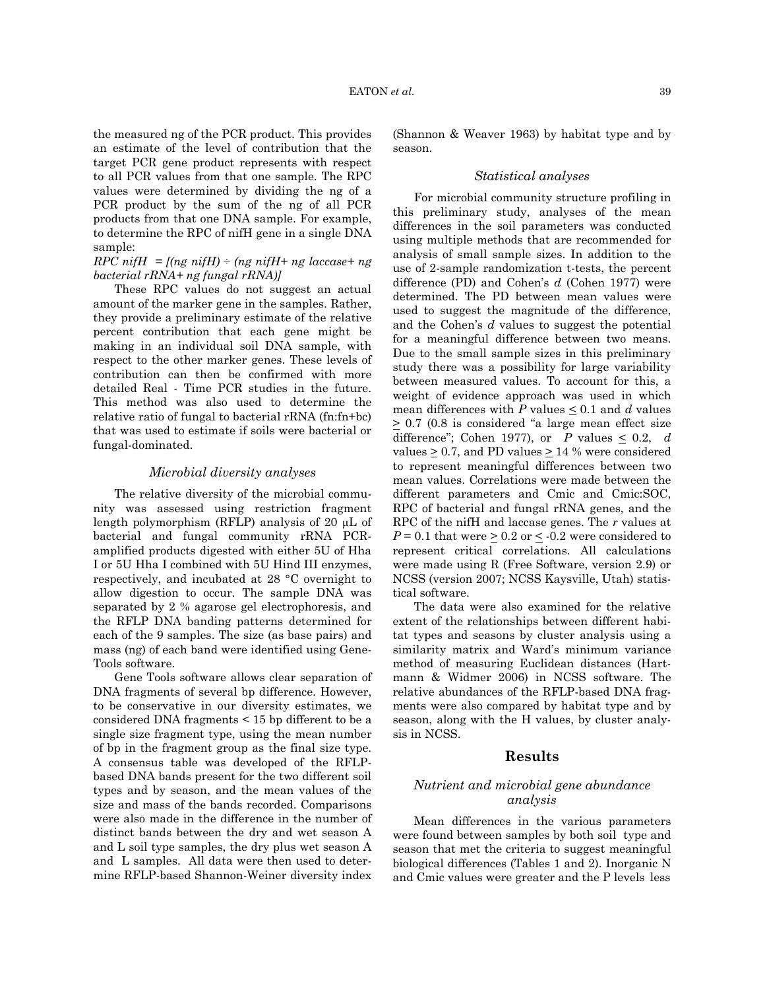the measured ng of the PCR product. This provides an estimate of the level of contribution that the target PCR gene product represents with respect to all PCR values from that one sample. The RPC values were determined by dividing the ng of a PCR product by the sum of the ng of all PCR products from that one DNA sample. For example, to determine the RPC of nifH gene in a single DNA sample:

## *RPC nifH* =  $[(ng\ nifH) \div (ng\ nifH+) \cdot ng\ laccase+ ng]$ *bacterial rRNA+ ng fungal rRNA)]*

These RPC values do not suggest an actual amount of the marker gene in the samples. Rather, they provide a preliminary estimate of the relative percent contribution that each gene might be making in an individual soil DNA sample, with respect to the other marker genes. These levels of contribution can then be confirmed with more detailed Real - Time PCR studies in the future. This method was also used to determine the relative ratio of fungal to bacterial rRNA (fn:fn+bc) that was used to estimate if soils were bacterial or fungal-dominated.

# *Microbial diversity analyses*

The relative diversity of the microbial community was assessed using restriction fragment length polymorphism (RFLP) analysis of 20 µL of bacterial and fungal community rRNA PCRamplified products digested with either 5U of Hha I or 5U Hha I combined with 5U Hind III enzymes, respectively, and incubated at 28 °C overnight to allow digestion to occur. The sample DNA was separated by 2 % agarose gel electrophoresis, and the RFLP DNA banding patterns determined for each of the 9 samples. The size (as base pairs) and mass (ng) of each band were identified using Gene-Tools software.

Gene Tools software allows clear separation of DNA fragments of several bp difference. However, to be conservative in our diversity estimates, we considered DNA fragments < 15 bp different to be a single size fragment type, using the mean number of bp in the fragment group as the final size type. A consensus table was developed of the RFLPbased DNA bands present for the two different soil types and by season, and the mean values of the size and mass of the bands recorded. Comparisons were also made in the difference in the number of distinct bands between the dry and wet season A and L soil type samples, the dry plus wet season A and L samples. All data were then used to determine RFLP-based Shannon-Weiner diversity index

(Shannon & Weaver 1963) by habitat type and by season.

#### *Statistical analyses*

For microbial community structure profiling in this preliminary study, analyses of the mean differences in the soil parameters was conducted using multiple methods that are recommended for analysis of small sample sizes. In addition to the use of 2-sample randomization t-tests, the percent difference (PD) and Cohen's *d* (Cohen 1977) were determined. The PD between mean values were used to suggest the magnitude of the difference, and the Cohen's *d* values to suggest the potential for a meaningful difference between two means. Due to the small sample sizes in this preliminary study there was a possibility for large variability between measured values. To account for this, a weight of evidence approach was used in which mean differences with  $P$  values  $\leq 0.1$  and  $d$  values  $\geq$  0.7 (0.8 is considered "a large mean effect size difference"; Cohen 1977), or *P* values  $\leq 0.2$ , *d* values  $> 0.7$ , and PD values  $> 14$  % were considered to represent meaningful differences between two mean values. Correlations were made between the different parameters and Cmic and Cmic:SOC, RPC of bacterial and fungal rRNA genes, and the RPC of the nifH and laccase genes. The *r* values at  $P = 0.1$  that were  $\geq 0.2$  or  $\leq$  -0.2 were considered to represent critical correlations. All calculations were made using R (Free Software, version 2.9) or NCSS (version 2007; NCSS Kaysville, Utah) statistical software.

The data were also examined for the relative extent of the relationships between different habitat types and seasons by cluster analysis using a similarity matrix and Ward's minimum variance method of measuring Euclidean distances (Hartmann & Widmer 2006) in NCSS software. The relative abundances of the RFLP-based DNA fragments were also compared by habitat type and by season, along with the H values, by cluster analysis in NCSS.

## **Results**

# *Nutrient and microbial gene abundance analysis*

Mean differences in the various parameters were found between samples by both soil type and season that met the criteria to suggest meaningful biological differences (Tables 1 and 2). Inorganic N and Cmic values were greater and the P levels less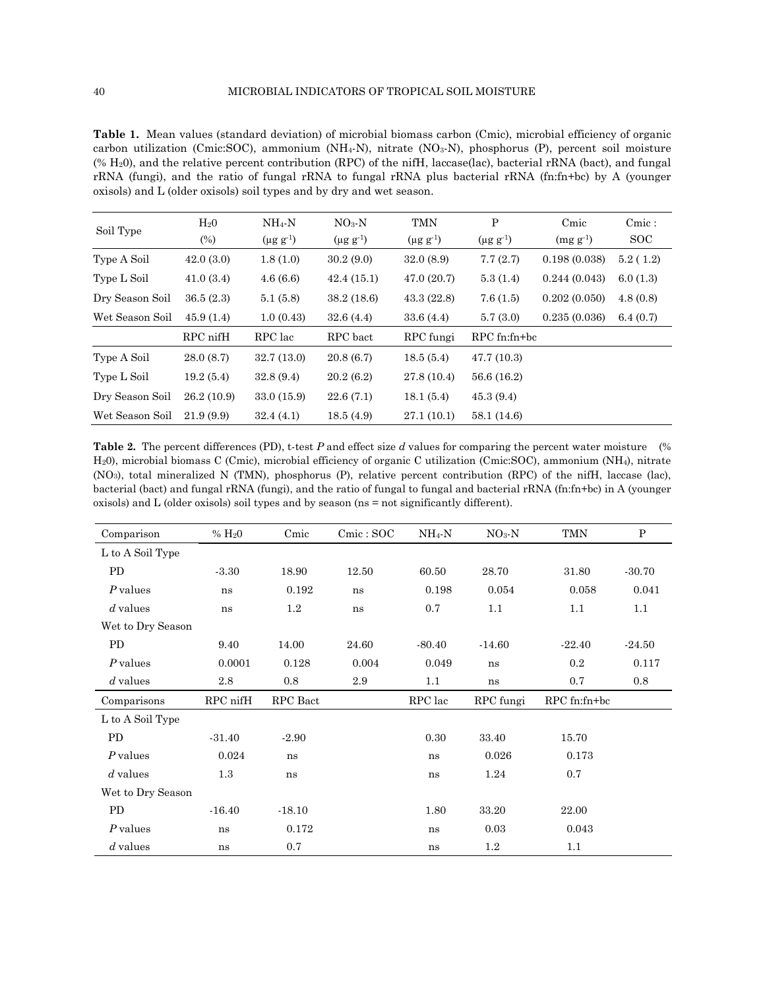**Table 1.** Mean values (standard deviation) of microbial biomass carbon (Cmic), microbial efficiency of organic carbon utilization (Cmic:SOC), ammonium (NH4-N), nitrate (NO3-N), phosphorus (P), percent soil moisture (% H20), and the relative percent contribution (RPC) of the nifH, laccase(lac), bacterial rRNA (bact), and fungal rRNA (fungi), and the ratio of fungal rRNA to fungal rRNA plus bacterial rRNA (fn:fn+bc) by A (younger oxisols) and L (older oxisols) soil types and by dry and wet season.

| Soil Type       | H <sub>2</sub> 0<br>$(\%)$ | $NH_4-N$<br>$(\mu g g^{-1})$ | $NO3$ - $N$<br>$(\mu g g^{-1})$ | TMN<br>$(\mu g g^{-1})$ | P<br>$(\mu g g^{-1})$ | Cmic<br>$(mg g^{-1})$ | Cmic:<br><sub>SOC</sub> |
|-----------------|----------------------------|------------------------------|---------------------------------|-------------------------|-----------------------|-----------------------|-------------------------|
| Type A Soil     | 42.0(3.0)                  | 1.8(1.0)                     | 30.2(9.0)                       | 32.0(8.9)               | 7.7(2.7)              | 0.198(0.038)          | 5.2(1.2)                |
| Type L Soil     | 41.0(3.4)                  | 4.6(6.6)                     | 42.4(15.1)                      | 47.0(20.7)              | 5.3(1.4)              | 0.244(0.043)          | 6.0(1.3)                |
| Dry Season Soil | 36.5(2.3)                  | 5.1(5.8)                     | 38.2(18.6)                      | 43.3(22.8)              | 7.6(1.5)              | 0.202(0.050)          | 4.8(0.8)                |
| Wet Season Soil | 45.9(1.4)                  | 1.0(0.43)                    | 32.6(4.4)                       | 33.6(4.4)               | 5.7(3.0)              | 0.235(0.036)          | 6.4(0.7)                |
|                 | RPC nifH                   | RPC lac                      | RPC bact                        | RPC fungi               | $RPC$ fn:fn+bc        |                       |                         |
| Type A Soil     | 28.0(8.7)                  | 32.7(13.0)                   | 20.8(6.7)                       | 18.5(5.4)               | 47.7(10.3)            |                       |                         |
| Type L Soil     | 19.2(5.4)                  | 32.8(9.4)                    | 20.2(6.2)                       | 27.8(10.4)              | 56.6 (16.2)           |                       |                         |
| Dry Season Soil | 26.2(10.9)                 | 33.0 (15.9)                  | 22.6(7.1)                       | 18.1(5.4)               | 45.3(9.4)             |                       |                         |
| Wet Season Soil | 21.9(9.9)                  | 32.4(4.1)                    | 18.5(4.9)                       | 27.1(10.1)              | 58.1 (14.6)           |                       |                         |

**Table 2.** The percent differences (PD), t-test *P* and effect size *d* values for comparing the percent water moisture (% H20), microbial biomass C (Cmic), microbial efficiency of organic C utilization (Cmic:SOC), ammonium (NH4), nitrate (NO3), total mineralized N (TMN), phosphorus (P), relative percent contribution (RPC) of the nifH, laccase (lac), bacterial (bact) and fungal rRNA (fungi), and the ratio of fungal to fungal and bacterial rRNA (fn:fn+bc) in A (younger oxisols) and L (older oxisols) soil types and by season (ns = not significantly different).

| Comparison        | % H <sub>2</sub> 0 | Cmic     | Cmic : SOC | $NH_4-N$ | $NO3 - N$ | TMN          | $\mathbf{P}$ |
|-------------------|--------------------|----------|------------|----------|-----------|--------------|--------------|
| L to A Soil Type  |                    |          |            |          |           |              |              |
| PD                | $-3.30$            | 18.90    | 12.50      | 60.50    | 28.70     | 31.80        | $-30.70$     |
| $P$ values        | ns                 | 0.192    | ns         | 0.198    | 0.054     | 0.058        | 0.041        |
| $d$ values        | ns                 | $1.2\,$  | ns         | 0.7      | 1.1       | 1.1          | 1.1          |
| Wet to Dry Season |                    |          |            |          |           |              |              |
| PD                | 9.40               | 14.00    | 24.60      | $-80.40$ | $-14.60$  | $-22.40$     | $-24.50$     |
| $P$ values        | 0.0001             | 0.128    | 0.004      | 0.049    | ns        | $\rm 0.2$    | 0.117        |
| $d$ values        | $2.8\,$            | 0.8      | $2.9\,$    | 1.1      | ns        | 0.7          | 0.8          |
|                   |                    |          |            |          |           |              |              |
| Comparisons       | RPC nifH           | RPC Bact |            | RPC lac  | RPC fungi | RPC fn:fn+bc |              |
| L to A Soil Type  |                    |          |            |          |           |              |              |
| PD                | $-31.40$           | $-2.90$  |            | 0.30     | 33.40     | 15.70        |              |
| P values          | 0.024              | ns       |            | ns       | 0.026     | 0.173        |              |
| $d$ values        | 1.3                | ns       |            | ns       | 1.24      | 0.7          |              |
| Wet to Dry Season |                    |          |            |          |           |              |              |
| PD                | $-16.40$           | $-18.10$ |            | 1.80     | 33.20     | 22.00        |              |
| P values          | ns                 | 0.172    |            | ns       | 0.03      | 0.043        |              |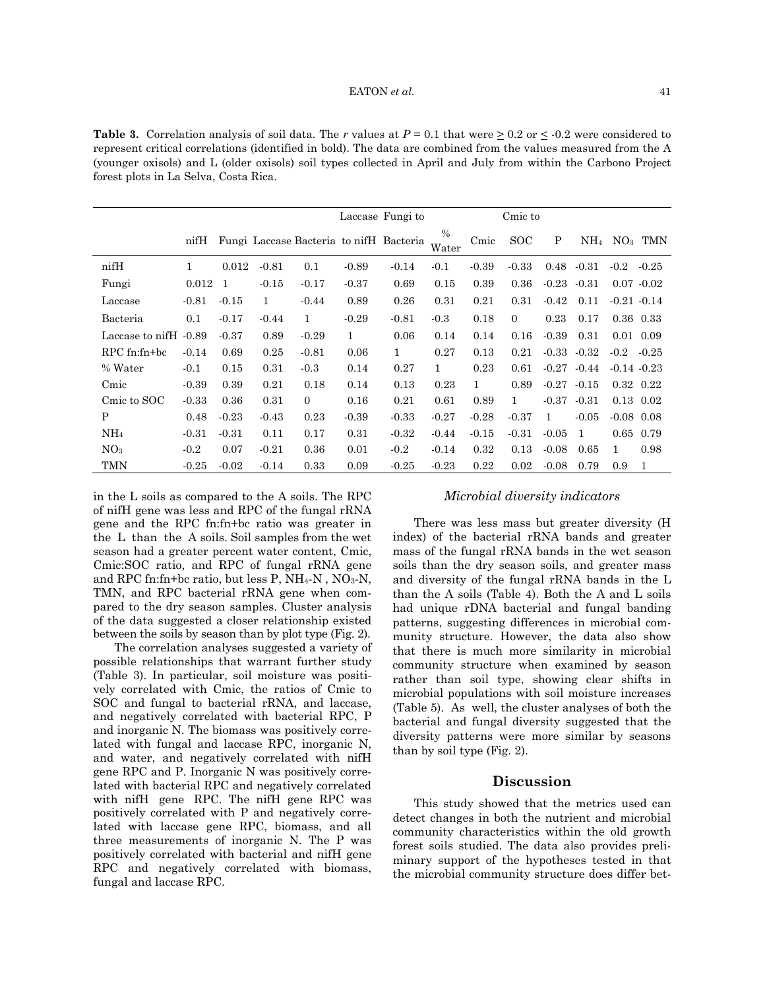**Table 3.** Correlation analysis of soil data. The *r* values at  $P = 0.1$  that were  $\geq 0.2$  or  $\leq -0.2$  were considered to represent critical correlations (identified in bold). The data are combined from the values measured from the A (younger oxisols) and L (older oxisols) soil types collected in April and July from within the Carbono Project forest plots in La Selva, Costa Rica.

|                       |         |         |         |          |         | Laccase Fungi to                        |                        |              | Cmic to      |         |                 |                 |                |
|-----------------------|---------|---------|---------|----------|---------|-----------------------------------------|------------------------|--------------|--------------|---------|-----------------|-----------------|----------------|
|                       | nifH    |         |         |          |         | Fungi Laccase Bacteria to nifH Bacteria | $\frac{0}{0}$<br>Water | Cmic         | <b>SOC</b>   | P       | NH <sub>4</sub> |                 | $NO3$ TMN      |
| nifH                  | 1       | 0.012   | $-0.81$ | 0.1      | $-0.89$ | $-0.14$                                 | $-0.1$                 | $-0.39$      | $-0.33$      | 0.48    | $-0.31$         | $-0.2$          | $-0.25$        |
| Fungi                 | 0.012   | -1      | $-0.15$ | $-0.17$  | $-0.37$ | 0.69                                    | 0.15                   | 0.39         | 0.36         |         | $-0.23 - 0.31$  |                 | $0.07 - 0.02$  |
| Laccase               | $-0.81$ | $-0.15$ | 1       | $-0.44$  | 0.89    | 0.26                                    | 0.31                   | 0.21         | 0.31         | $-0.42$ | 0.11            |                 | $-0.21 - 0.14$ |
| Bacteria              | 0.1     | $-0.17$ | $-0.44$ | 1        | $-0.29$ | $-0.81$                                 | $-0.3$                 | 0.18         | $\mathbf{0}$ | 0.23    | 0.17            |                 | $0.36$ $0.33$  |
| Laccase to nifH -0.89 |         | $-0.37$ | 0.89    | $-0.29$  | 1       | 0.06                                    | 0.14                   | 0.14         | 0.16         | $-0.39$ | 0.31            |                 | $0.01$ 0.09    |
| $RPC$ fn:fn+bc        | $-0.14$ | 0.69    | 0.25    | $-0.81$  | 0.06    | $\mathbf{1}$                            | 0.27                   | 0.13         | 0.21         | $-0.33$ | $-0.32$         | $-0.2$          | $-0.25$        |
| % Water               | $-0.1$  | 0.15    | 0.31    | $-0.3$   | 0.14    | 0.27                                    | $\mathbf{1}$           | 0.23         | 0.61         | $-0.27$ | $-0.44$         | $-0.14$ $-0.23$ |                |
| Cmic                  | $-0.39$ | 0.39    | 0.21    | 0.18     | 0.14    | 0.13                                    | 0.23                   | $\mathbf{1}$ | 0.89         | $-0.27$ | $-0.15$         |                 | 0.32 0.22      |
| Cmic to SOC           | $-0.33$ | 0.36    | 0.31    | $\Omega$ | 0.16    | 0.21                                    | 0.61                   | 0.89         | $\mathbf{1}$ | $-0.37$ | $-0.31$         |                 | $0.13$ $0.02$  |
| P                     | 0.48    | $-0.23$ | $-0.43$ | 0.23     | $-0.39$ | $-0.33$                                 | $-0.27$                | $-0.28$      | $-0.37$      | 1       | $-0.05$         | $-0.08$ 0.08    |                |
| NH <sub>4</sub>       | $-0.31$ | $-0.31$ | 0.11    | 0.17     | 0.31    | $-0.32$                                 | $-0.44$                | $-0.15$      | $-0.31$      | $-0.05$ | 1               |                 | 0.65 0.79      |
| NO <sub>3</sub>       | $-0.2$  | 0.07    | $-0.21$ | 0.36     | 0.01    | $-0.2$                                  | $-0.14$                | 0.32         | 0.13         | $-0.08$ | 0.65            | 1               | 0.98           |
| TMN                   | $-0.25$ | $-0.02$ | $-0.14$ | 0.33     | 0.09    | $-0.25$                                 | $-0.23$                | 0.22         | 0.02         | $-0.08$ | 0.79            | 0.9             | 1              |

in the L soils as compared to the A soils. The RPC of nifH gene was less and RPC of the fungal rRNA gene and the RPC fn:fn+bc ratio was greater in the L than the A soils. Soil samples from the wet season had a greater percent water content, Cmic, Cmic:SOC ratio, and RPC of fungal rRNA gene and RPC fn:fn+bc ratio, but less P,  $NH_4-N$ ,  $NO_3-N$ , TMN, and RPC bacterial rRNA gene when compared to the dry season samples. Cluster analysis of the data suggested a closer relationship existed between the soils by season than by plot type (Fig. 2).

The correlation analyses suggested a variety of possible relationships that warrant further study (Table 3). In particular, soil moisture was positively correlated with Cmic, the ratios of Cmic to SOC and fungal to bacterial rRNA, and laccase, and negatively correlated with bacterial RPC, P and inorganic N. The biomass was positively correlated with fungal and laccase RPC, inorganic N, and water, and negatively correlated with nifH gene RPC and P. Inorganic N was positively correlated with bacterial RPC and negatively correlated with nifH gene RPC. The nifH gene RPC was positively correlated with P and negatively correlated with laccase gene RPC, biomass, and all three measurements of inorganic N. The P was positively correlated with bacterial and nifH gene RPC and negatively correlated with biomass, fungal and laccase RPC.

## *Microbial diversity indicators*

There was less mass but greater diversity (H index) of the bacterial rRNA bands and greater mass of the fungal rRNA bands in the wet season soils than the dry season soils, and greater mass and diversity of the fungal rRNA bands in the L than the A soils (Table 4). Both the A and L soils had unique rDNA bacterial and fungal banding patterns, suggesting differences in microbial community structure. However, the data also show that there is much more similarity in microbial community structure when examined by season rather than soil type, showing clear shifts in microbial populations with soil moisture increases (Table 5). As well, the cluster analyses of both the bacterial and fungal diversity suggested that the diversity patterns were more similar by seasons than by soil type (Fig. 2).

## **Discussion**

This study showed that the metrics used can detect changes in both the nutrient and microbial community characteristics within the old growth forest soils studied. The data also provides preliminary support of the hypotheses tested in that the microbial community structure does differ bet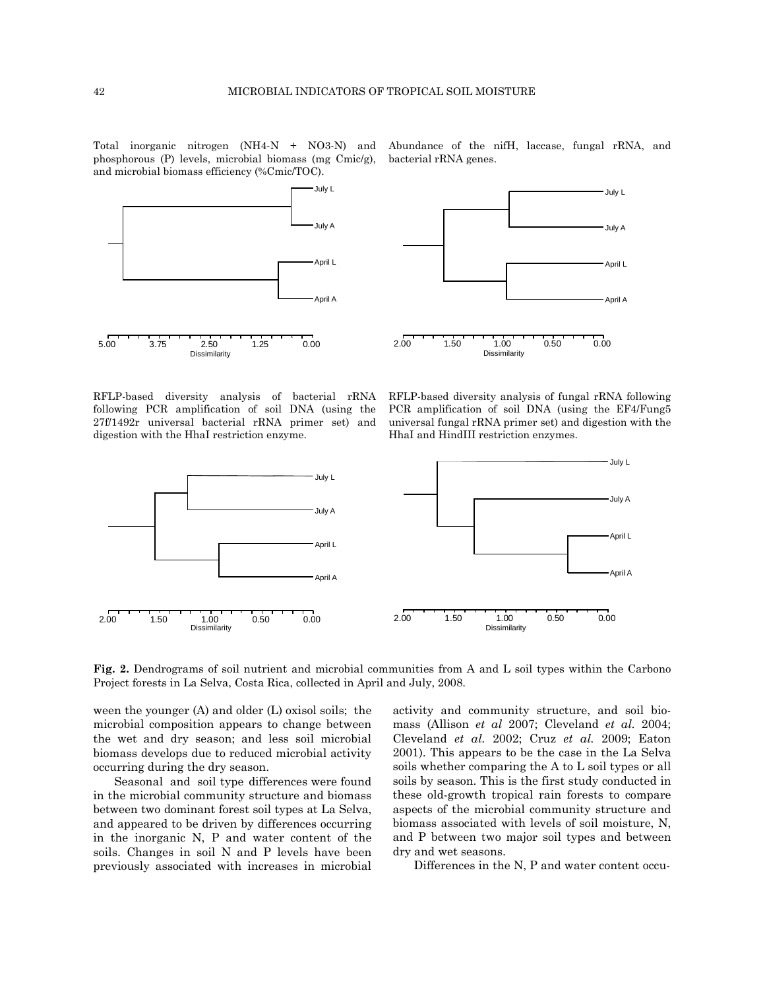Total inorganic nitrogen (NH4-N + NO3-N) and phosphorous (P) levels, microbial biomass (mg Cmic/g), and microbial biomass efficiency (%Cmic/TOC).



2.00 1.50 1.00 0.50 0.00 Dissimilarity April A April L July A July L

RFLP-based diversity analysis of bacterial rRNA following PCR amplification of soil DNA (using the 27f/1492r universal bacterial rRNA primer set) and digestion with the HhaI restriction enzyme.

RFLP-based diversity analysis of fungal rRNA following PCR amplification of soil DNA (using the EF4/Fung5 universal fungal rRNA primer set) and digestion with the HhaI and HindIII restriction enzymes.



**Fig. 2.** Dendrograms of soil nutrient and microbial communities from A and L soil types within the Carbono Project forests in La Selva, Costa Rica, collected in April and July, 2008.

ween the younger (A) and older (L) oxisol soils; the microbial composition appears to change between the wet and dry season; and less soil microbial biomass develops due to reduced microbial activity occurring during the dry season.

Seasonal and soil type differences were found in the microbial community structure and biomass between two dominant forest soil types at La Selva, and appeared to be driven by differences occurring in the inorganic N, P and water content of the soils. Changes in soil N and P levels have been previously associated with increases in microbial activity and community structure, and soil biomass (Allison *et al* 2007; Cleveland *et al.* 2004; Cleveland *et al.* 2002; Cruz *et al.* 2009; Eaton 2001). This appears to be the case in the La Selva soils whether comparing the A to L soil types or all soils by season. This is the first study conducted in these old-growth tropical rain forests to compare aspects of the microbial community structure and biomass associated with levels of soil moisture, N, and P between two major soil types and between dry and wet seasons.

Differences in the N, P and water content occu-

Abundance of the nifH, laccase, fungal rRNA, and bacterial rRNA genes.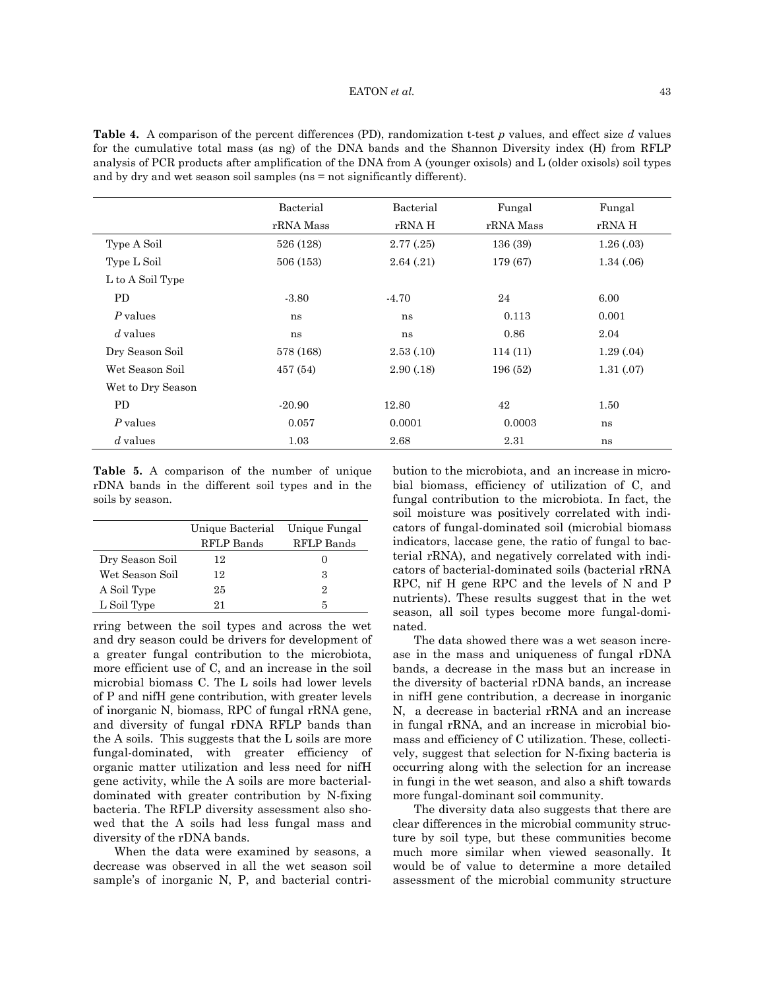**Table 4.** A comparison of the percent differences (PD), randomization t-test *p* values, and effect size *d* values for the cumulative total mass (as ng) of the DNA bands and the Shannon Diversity index (H) from RFLP analysis of PCR products after amplification of the DNA from A (younger oxisols) and L (older oxisols) soil types and by dry and wet season soil samples (ns = not significantly different).

|                   | Bacterial | Bacterial | Fungal    | Fungal     |
|-------------------|-----------|-----------|-----------|------------|
|                   | rRNA Mass | rRNA H    | rRNA Mass | rRNA H     |
| Type A Soil       | 526 (128) | 2.77(.25) | 136 (39)  | 1.26(0.03) |
| Type L Soil       | 506 (153) | 2.64(.21) | 179 (67)  | 1.34(0.06) |
| L to A Soil Type  |           |           |           |            |
| <b>PD</b>         | $-3.80$   | $-4.70$   | 24        | 6.00       |
| P values          | ns        | ns        | 0.113     | 0.001      |
| $d$ values        | ns        | ns        | 0.86      | 2.04       |
| Dry Season Soil   | 578 (168) | 2.53(.10) | 114(11)   | 1.29(0.04) |
| Wet Season Soil   | 457 (54)  | 2.90(.18) | 196 (52)  | 1.31(0.07) |
| Wet to Dry Season |           |           |           |            |
| PD.               | $-20.90$  | 12.80     | 42        | 1.50       |
| P values          | 0.057     | 0.0001    | 0.0003    | ns         |
| $d$ values        | 1.03      | 2.68      | 2.31      | ns         |

**Table 5.** A comparison of the number of unique rDNA bands in the different soil types and in the soils by season.

|                 | Unique Bacterial Unique Fungal |            |
|-----------------|--------------------------------|------------|
|                 | RFLP Bands                     | RFLP Bands |
| Dry Season Soil | 12                             |            |
| Wet Season Soil | 12                             | 3          |
| A Soil Type     | 25                             | 9.         |
| L Soil Type     | 91                             | 5          |

rring between the soil types and across the wet and dry season could be drivers for development of a greater fungal contribution to the microbiota, more efficient use of C, and an increase in the soil microbial biomass C. The L soils had lower levels of P and nifH gene contribution, with greater levels of inorganic N, biomass, RPC of fungal rRNA gene, and diversity of fungal rDNA RFLP bands than the A soils. This suggests that the L soils are more fungal-dominated, with greater efficiency of organic matter utilization and less need for nifH gene activity, while the A soils are more bacterialdominated with greater contribution by N-fixing bacteria. The RFLP diversity assessment also showed that the A soils had less fungal mass and diversity of the rDNA bands.

When the data were examined by seasons, a decrease was observed in all the wet season soil sample's of inorganic N, P, and bacterial contribution to the microbiota, and an increase in microbial biomass, efficiency of utilization of C, and fungal contribution to the microbiota. In fact, the soil moisture was positively correlated with indicators of fungal-dominated soil (microbial biomass indicators, laccase gene, the ratio of fungal to bacterial rRNA), and negatively correlated with indicators of bacterial-dominated soils (bacterial rRNA RPC, nif H gene RPC and the levels of N and P nutrients). These results suggest that in the wet season, all soil types become more fungal-dominated.

The data showed there was a wet season increase in the mass and uniqueness of fungal rDNA bands, a decrease in the mass but an increase in the diversity of bacterial rDNA bands, an increase in nifH gene contribution, a decrease in inorganic N, a decrease in bacterial rRNA and an increase in fungal rRNA, and an increase in microbial biomass and efficiency of C utilization. These, collectively, suggest that selection for N-fixing bacteria is occurring along with the selection for an increase in fungi in the wet season, and also a shift towards more fungal-dominant soil community.

The diversity data also suggests that there are clear differences in the microbial community structure by soil type, but these communities become much more similar when viewed seasonally. It would be of value to determine a more detailed assessment of the microbial community structure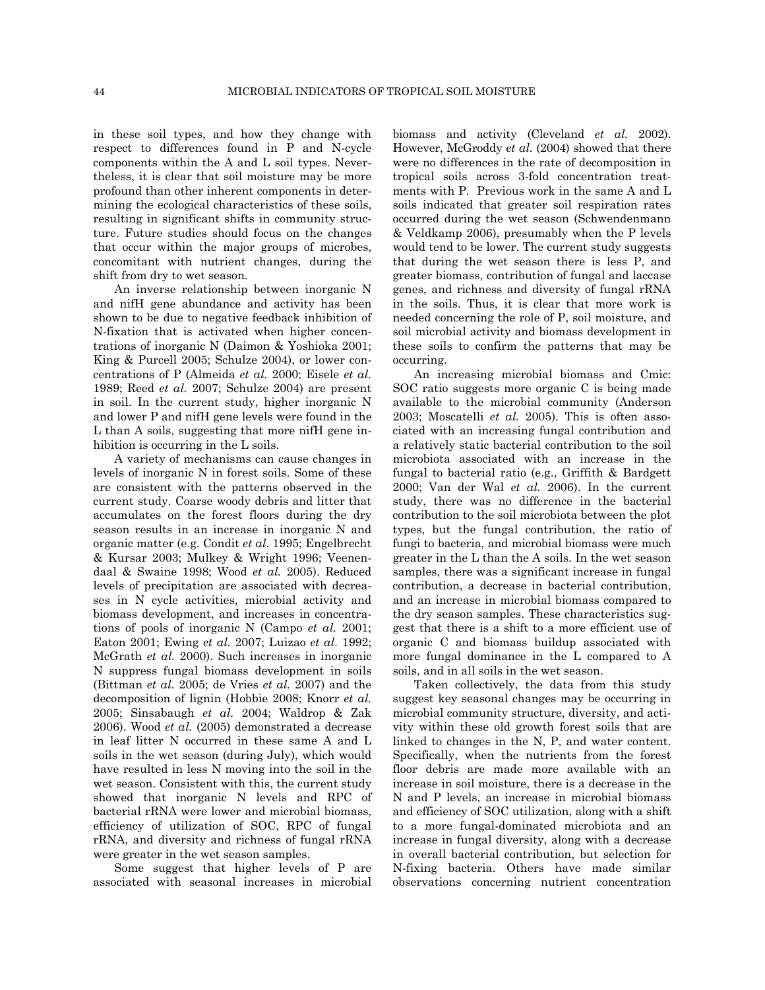in these soil types, and how they change with respect to differences found in P and N-cycle components within the A and L soil types. Nevertheless, it is clear that soil moisture may be more profound than other inherent components in determining the ecological characteristics of these soils, resulting in significant shifts in community structure. Future studies should focus on the changes that occur within the major groups of microbes, concomitant with nutrient changes, during the shift from dry to wet season.

An inverse relationship between inorganic N and nifH gene abundance and activity has been shown to be due to negative feedback inhibition of N-fixation that is activated when higher concentrations of inorganic N (Daimon & Yoshioka 2001; King & Purcell 2005; Schulze 2004), or lower concentrations of P (Almeida *et al.* 2000; Eisele *et al.* 1989; Reed *et al.* 2007; Schulze 2004) are present in soil. In the current study, higher inorganic N and lower P and nifH gene levels were found in the L than A soils, suggesting that more nifH gene inhibition is occurring in the L soils.

A variety of mechanisms can cause changes in levels of inorganic N in forest soils. Some of these are consistent with the patterns observed in the current study. Coarse woody debris and litter that accumulates on the forest floors during the dry season results in an increase in inorganic N and organic matter (e.g. Condit *et al*. 1995; Engelbrecht & Kursar 2003; Mulkey & Wright 1996; Veenendaal & Swaine 1998; Wood *et al.* 2005). Reduced levels of precipitation are associated with decreases in N cycle activities, microbial activity and biomass development, and increases in concentrations of pools of inorganic N (Campo *et al.* 2001; Eaton 2001; Ewing *et al.* 2007; Luizao *et al*. 1992; McGrath *et al.* 2000). Such increases in inorganic N suppress fungal biomass development in soils (Bittman *et al.* 2005; de Vries *et al.* 2007) and the decomposition of lignin (Hobbie 2008; Knorr *et al.*  2005; Sinsabaugh *et al.* 2004; Waldrop & Zak 2006). Wood *et al.* (2005) demonstrated a decrease in leaf litter N occurred in these same A and L soils in the wet season (during July), which would have resulted in less N moving into the soil in the wet season. Consistent with this, the current study showed that inorganic N levels and RPC of bacterial rRNA were lower and microbial biomass, efficiency of utilization of SOC, RPC of fungal rRNA, and diversity and richness of fungal rRNA were greater in the wet season samples.

Some suggest that higher levels of P are associated with seasonal increases in microbial biomass and activity (Cleveland *et al.* 2002). However, McGroddy *et al*. (2004) showed that there were no differences in the rate of decomposition in tropical soils across 3-fold concentration treatments with P. Previous work in the same A and L soils indicated that greater soil respiration rates occurred during the wet season (Schwendenmann & Veldkamp 2006), presumably when the P levels would tend to be lower. The current study suggests that during the wet season there is less P, and greater biomass, contribution of fungal and laccase genes, and richness and diversity of fungal rRNA in the soils. Thus, it is clear that more work is needed concerning the role of P, soil moisture, and soil microbial activity and biomass development in these soils to confirm the patterns that may be occurring.

An increasing microbial biomass and Cmic: SOC ratio suggests more organic C is being made available to the microbial community (Anderson 2003; Moscatelli *et al.* 2005). This is often associated with an increasing fungal contribution and a relatively static bacterial contribution to the soil microbiota associated with an increase in the fungal to bacterial ratio (e.g., Griffith & Bardgett 2000; Van der Wal *et al.* 2006). In the current study, there was no difference in the bacterial contribution to the soil microbiota between the plot types, but the fungal contribution, the ratio of fungi to bacteria, and microbial biomass were much greater in the L than the A soils. In the wet season samples, there was a significant increase in fungal contribution, a decrease in bacterial contribution, and an increase in microbial biomass compared to the dry season samples. These characteristics suggest that there is a shift to a more efficient use of organic C and biomass buildup associated with more fungal dominance in the L compared to A soils, and in all soils in the wet season.

Taken collectively, the data from this study suggest key seasonal changes may be occurring in microbial community structure, diversity, and activity within these old growth forest soils that are linked to changes in the N, P, and water content. Specifically, when the nutrients from the forest floor debris are made more available with an increase in soil moisture, there is a decrease in the N and P levels, an increase in microbial biomass and efficiency of SOC utilization, along with a shift to a more fungal-dominated microbiota and an increase in fungal diversity, along with a decrease in overall bacterial contribution, but selection for N-fixing bacteria. Others have made similar observations concerning nutrient concentration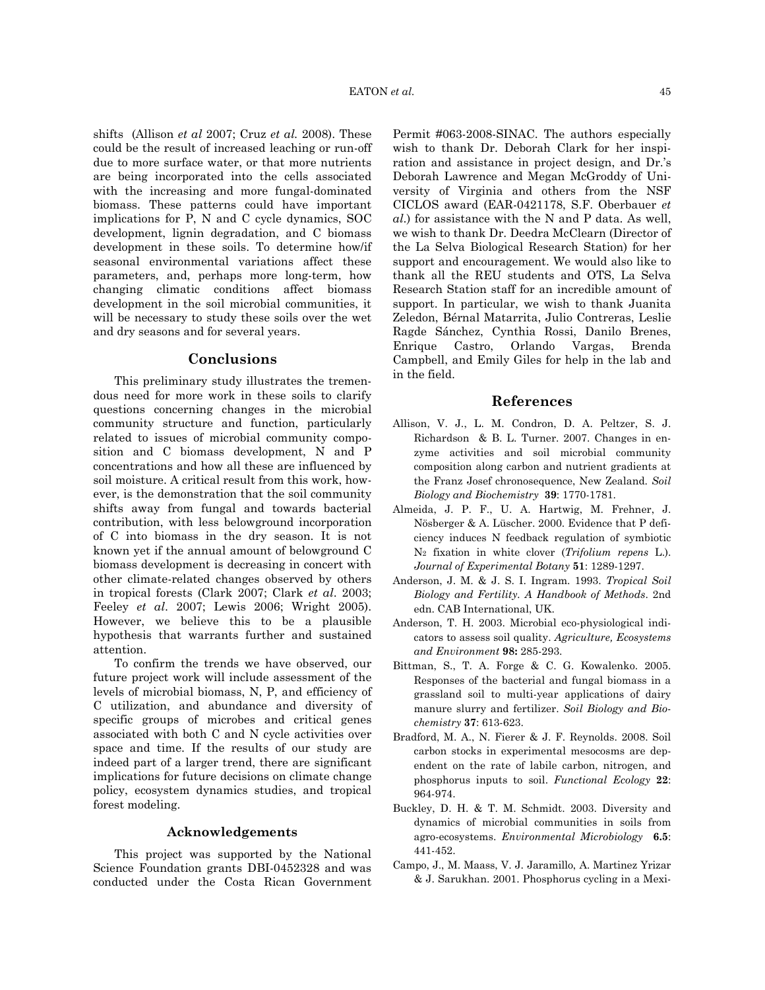shifts (Allison *et al* 2007; Cruz *et al.* 2008). These could be the result of increased leaching or run-off due to more surface water, or that more nutrients are being incorporated into the cells associated with the increasing and more fungal-dominated biomass. These patterns could have important implications for P, N and C cycle dynamics, SOC development, lignin degradation, and C biomass development in these soils. To determine how/if seasonal environmental variations affect these parameters, and, perhaps more long-term, how changing climatic conditions affect biomass development in the soil microbial communities, it will be necessary to study these soils over the wet and dry seasons and for several years.

# **Conclusions**

This preliminary study illustrates the tremendous need for more work in these soils to clarify questions concerning changes in the microbial community structure and function, particularly related to issues of microbial community composition and C biomass development, N and P concentrations and how all these are influenced by soil moisture. A critical result from this work, however, is the demonstration that the soil community shifts away from fungal and towards bacterial contribution, with less belowground incorporation of C into biomass in the dry season. It is not known yet if the annual amount of belowground C biomass development is decreasing in concert with other climate-related changes observed by others in tropical forests (Clark 2007; Clark *et al*. 2003; Feeley *et al*. 2007; Lewis 2006; Wright 2005). However, we believe this to be a plausible hypothesis that warrants further and sustained attention.

To confirm the trends we have observed, our future project work will include assessment of the levels of microbial biomass, N, P, and efficiency of C utilization, and abundance and diversity of specific groups of microbes and critical genes associated with both C and N cycle activities over space and time. If the results of our study are indeed part of a larger trend, there are significant implications for future decisions on climate change policy, ecosystem dynamics studies, and tropical forest modeling.

## **Acknowledgements**

This project was supported by the National Science Foundation grants DBI-0452328 and was conducted under the Costa Rican Government Permit #063-2008-SINAC. The authors especially wish to thank Dr. Deborah Clark for her inspiration and assistance in project design, and Dr.'s Deborah Lawrence and Megan McGroddy of University of Virginia and others from the NSF CICLOS award (EAR-0421178, S.F. Oberbauer *et al*.) for assistance with the N and P data. As well, we wish to thank Dr. Deedra McClearn (Director of the La Selva Biological Research Station) for her support and encouragement. We would also like to thank all the REU students and OTS, La Selva Research Station staff for an incredible amount of support. In particular, we wish to thank Juanita Zeledon, Bérnal Matarrita, Julio Contreras, Leslie Ragde Sánchez, Cynthia Rossi, Danilo Brenes, Enrique Castro, Orlando Vargas, Brenda Campbell, and Emily Giles for help in the lab and in the field.

#### **References**

- Allison, V. J., L. M. Condron, D. A. Peltzer, S. J. Richardson & B. L. Turner. 2007. Changes in enzyme activities and soil microbial community composition along carbon and nutrient gradients at the Franz Josef chronosequence, New Zealand. *Soil Biology and Biochemistry* **39**: 1770-1781.
- Almeida, J. P. F., U. A. Hartwig, M. Frehner, J. Nösberger & A. Lüscher. 2000. Evidence that P deficiency induces N feedback regulation of symbiotic N2 fixation in white clover (*Trifolium repens* L.). *Journal of Experimental Botany* **51**: 1289-1297.
- Anderson, J. M. & J. S. I. Ingram. 1993. *Tropical Soil Biology and Fertility. A Handbook of Methods*. 2nd edn. CAB International, UK.
- Anderson, T. H. 2003. Microbial eco-physiological indicators to assess soil quality. *Agriculture, Ecosystems and Environment* **98:** 285-293.
- Bittman, S., T. A. Forge & C. G. Kowalenko. 2005. Responses of the bacterial and fungal biomass in a grassland soil to multi-year applications of dairy manure slurry and fertilizer. *Soil Biology and Biochemistry* **37**: 613-623.
- Bradford, M. A., N. Fierer & J. F. Reynolds. 2008. Soil carbon stocks in experimental mesocosms are dependent on the rate of labile carbon, nitrogen, and phosphorus inputs to soil. *Functional Ecology* **22**: 964-974.
- Buckley, D. H. & T. M. Schmidt. 2003. Diversity and dynamics of microbial communities in soils from agro-ecosystems. *Environmental Microbiology* **6.5**: 441-452.
- Campo, J., M. Maass, V. J. Jaramillo, A. Martinez Yrizar & J. Sarukhan. 2001. Phosphorus cycling in a Mexi-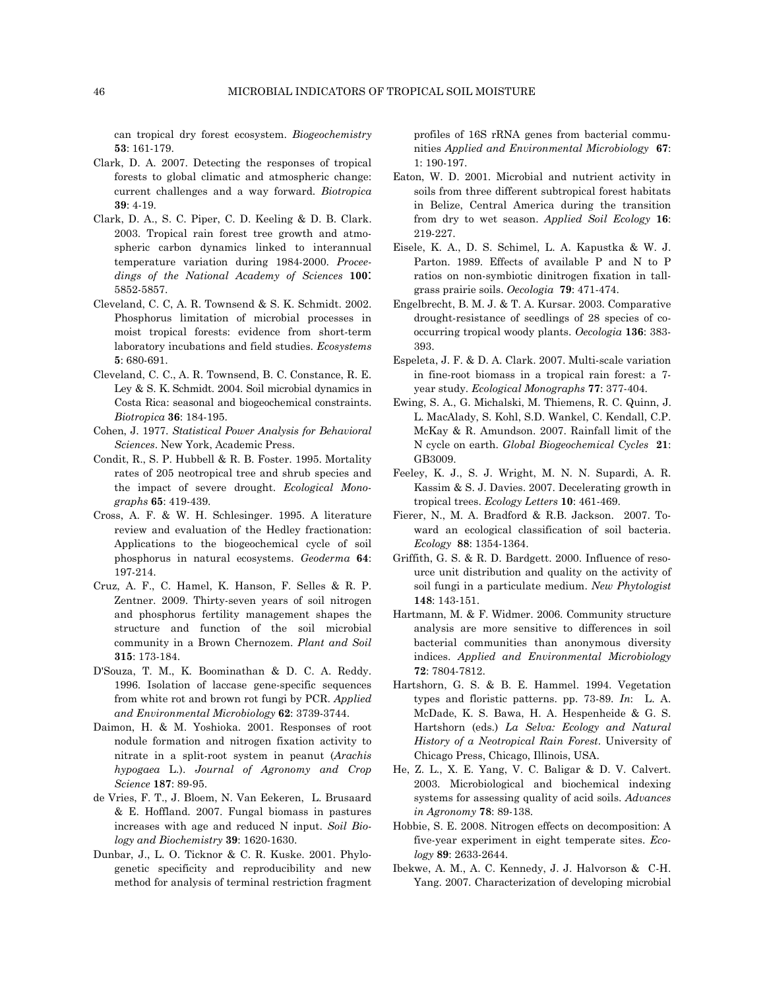can tropical dry forest ecosystem. *Biogeochemistry* **53**: 161-179.

- Clark, D. A. 2007. Detecting the responses of tropical forests to global climatic and atmospheric change: current challenges and a way forward. *Biotropica* **39**: 4-19.
- Clark, D. A., S. C. Piper, C. D. Keeling & D. B. Clark. 2003. Tropical rain forest tree growth and atmospheric carbon dynamics linked to interannual temperature variation during 1984-2000. *Proceedings of the National Academy of Sciences* **100**: 5852-5857.
- Cleveland, C. C, A. R. Townsend & S. K. Schmidt. 2002. Phosphorus limitation of microbial processes in moist tropical forests: evidence from short-term laboratory incubations and field studies. *Ecosystems* **5**: 680-691.
- Cleveland, C. C., A. R. Townsend, B. C. Constance, R. E. Ley & S. K. Schmidt. 2004. Soil microbial dynamics in Costa Rica: seasonal and biogeochemical constraints. *Biotropica* **36**: 184-195.
- Cohen, J. 1977. *Statistical Power Analysis for Behavioral Sciences*. New York, Academic Press.
- Condit, R., S. P. Hubbell & R. B. Foster. 1995. Mortality rates of 205 neotropical tree and shrub species and the impact of severe drought. *Ecological Monographs* **65**: 419-439.
- Cross, A. F. & W. H. Schlesinger. 1995. A literature review and evaluation of the Hedley fractionation: Applications to the biogeochemical cycle of soil phosphorus in natural ecosystems. *Geoderma* **64**: 197-214.
- Cruz, A. F., C. Hamel, K. Hanson, F. Selles & R. P. Zentner. 2009. Thirty-seven years of soil nitrogen and phosphorus fertility management shapes the structure and function of the soil microbial community in a Brown Chernozem. *Plant and Soil* **315**: 173-184.
- D'Souza, T. M., K. Boominathan & D. C. A. Reddy. 1996. Isolation of laccase gene-specific sequences from white rot and brown rot fungi by PCR. *Applied and Environmental Microbiology* **62**: 3739-3744.
- Daimon, H. & M. Yoshioka. 2001. Responses of root nodule formation and nitrogen fixation activity to nitrate in a split-root system in peanut (*Arachis hypogaea* L.). *Journal of Agronomy and Crop Science* **187**: 89-95.
- de Vries, F. T., J. Bloem, N. Van Eekeren, L. Brusaard & E. Hoffland. 2007. Fungal biomass in pastures increases with age and reduced N input. *Soil Biology and Biochemistry* **39**: 1620-1630.
- Dunbar, J., L. O. Ticknor & C. R. Kuske. 2001. Phylogenetic specificity and reproducibility and new method for analysis of terminal restriction fragment

profiles of 16S rRNA genes from bacterial communities *Applied and Environmental Microbiology* **67**: 1: 190-197.

- Eaton, W. D. 2001. Microbial and nutrient activity in soils from three different subtropical forest habitats in Belize, Central America during the transition from dry to wet season. *Applied Soil Ecology* **16**: 219-227.
- Eisele, K. A., D. S. Schimel, L. A. Kapustka & W. J. Parton. 1989. Effects of available P and N to P ratios on non-symbiotic dinitrogen fixation in tallgrass prairie soils. *Oecologia* **79**: 471-474.
- Engelbrecht, B. M. J. & T. A. Kursar. 2003. Comparative drought-resistance of seedlings of 28 species of cooccurring tropical woody plants. *Oecologia* **136**: 383- 393.
- Espeleta, J. F. & D. A. Clark. 2007. Multi-scale variation in fine-root biomass in a tropical rain forest: a 7 year study. *Ecological Monographs* **77**: 377-404.
- Ewing, S. A., G. Michalski, M. Thiemens, R. C. Quinn, J. L. MacAlady, S. Kohl, S.D. Wankel, C. Kendall, C.P. McKay & R. Amundson. 2007. Rainfall limit of the N cycle on earth. *Global Biogeochemical Cycles* **21**: GB3009.
- Feeley, K. J., S. J. Wright, M. N. N. Supardi, A. R. Kassim & S. J. Davies. 2007. Decelerating growth in tropical trees. *Ecology Letters* **10**: 461-469.
- Fierer, N., M. A. Bradford & R.B. Jackson. 2007. Toward an ecological classification of soil bacteria. *Ecology* **88**: 1354-1364.
- Griffith, G. S. & R. D. Bardgett. 2000. Influence of resource unit distribution and quality on the activity of soil fungi in a particulate medium. *New Phytologist* **148**: 143-151.
- Hartmann, M. & F. Widmer. 2006. Community structure analysis are more sensitive to differences in soil bacterial communities than anonymous diversity indices. *Applied and Environmental Microbiology* **72**: 7804-7812.
- Hartshorn, G. S. & B. E. Hammel. 1994. Vegetation types and floristic patterns. pp. 73-89. *In*: L. A. McDade, K. S. Bawa, H. A. Hespenheide & G. S. Hartshorn (eds.) *La Selva: Ecology and Natural History of a Neotropical Rain Forest*. University of Chicago Press, Chicago, Illinois, USA.
- He, Z. L., X. E. Yang, V. C. Baligar & D. V. Calvert. 2003. Microbiological and biochemical indexing systems for assessing quality of acid soils. *Advances in Agronomy* **78**: 89-138.
- Hobbie, S. E. 2008. Nitrogen effects on decomposition: A five-year experiment in eight temperate sites. *Ecology* **89**: 2633-2644.
- Ibekwe, A. M., A. C. Kennedy, J. J. Halvorson & C-H. Yang. 2007. Characterization of developing microbial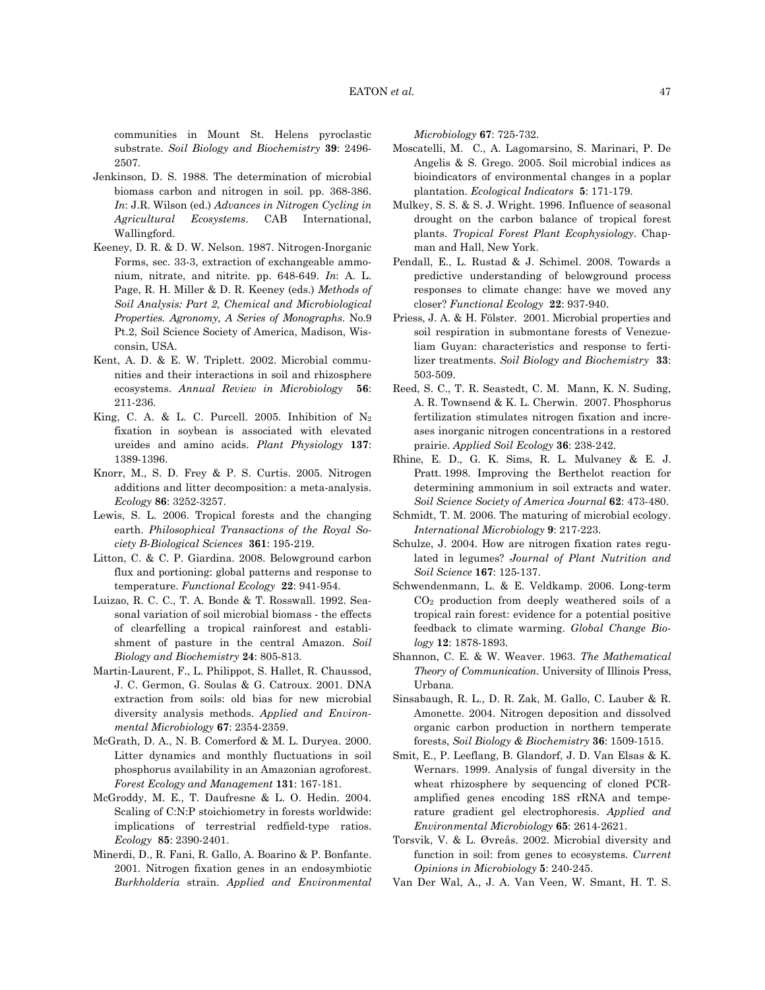communities in Mount St. Helens pyroclastic substrate. *Soil Biology and Biochemistry* **39**: 2496- 2507.

- Jenkinson, D. S. 1988. The determination of microbial biomass carbon and nitrogen in soil. pp. 368-386. *In*: J.R. Wilson (ed.) *Advances in Nitrogen Cycling in Agricultural Ecosystems*. CAB International, Wallingford.
- Keeney, D. R. & D. W. Nelson. 1987. Nitrogen-Inorganic Forms, sec. 33-3, extraction of exchangeable ammonium, nitrate, and nitrite. pp. 648-649. *In*: A. L. Page, R. H. Miller & D. R. Keeney (eds.) *Methods of Soil Analysis: Part 2, Chemical and Microbiological Properties. Agronomy, A Series of Monographs*. No.9 Pt.2, Soil Science Society of America, Madison, Wisconsin, USA.
- Kent, A. D. & E. W. Triplett. 2002. Microbial communities and their interactions in soil and rhizosphere ecosystems. *Annual Review in Microbiology* **56**: 211-236.
- King, C. A. & L. C. Purcell. 2005. Inhibition of  $N_2$ fixation in soybean is associated with elevated ureides and amino acids. *Plant Physiology* **137**: 1389-1396.
- Knorr, M., S. D. Frey & P. S. Curtis. 2005. Nitrogen additions and litter decomposition: a meta-analysis. *Ecology* **86**: 3252-3257.
- Lewis, S. L. 2006. Tropical forests and the changing earth. *Philosophical Transactions of the Royal Society B-Biological Sciences* **361**: 195-219.
- Litton, C. & C. P. Giardina. 2008. Belowground carbon flux and portioning: global patterns and response to temperature. *Functional Ecology* **22**: 941-954.
- Luizao, R. C. C., T. A. Bonde & T. Rosswall. 1992. Seasonal variation of soil microbial biomass - the effects of clearfelling a tropical rainforest and establishment of pasture in the central Amazon. *Soil Biology and Biochemistry* **24**: 805-813.
- Martin-Laurent, F., L. Philippot, S. Hallet, R. Chaussod, J. C. Germon, G. Soulas & G. Catroux. 2001. DNA extraction from soils: old bias for new microbial diversity analysis methods. *Applied and Environmental Microbiology* **67**: 2354-2359.
- McGrath, D. A., N. B. Comerford & M. L. Duryea. 2000. Litter dynamics and monthly fluctuations in soil phosphorus availability in an Amazonian agroforest. *Forest Ecology and Management* **131**: 167-181.
- McGroddy, M. E., T. Daufresne & L. O. Hedin. 2004. Scaling of C:N:P stoichiometry in forests worldwide: implications of terrestrial redfield-type ratios. *Ecology* **85**: 2390-2401.
- Minerdi, D., R. Fani, R. Gallo, A. Boarino & P. Bonfante. 2001. Nitrogen fixation genes in an endosymbiotic *Burkholderia* strain. *Applied and Environmental*

*Microbiology* **67**: 725-732.

- Moscatelli, M. C., A. Lagomarsino, S. Marinari, P. De Angelis & S. Grego. 2005. Soil microbial indices as bioindicators of environmental changes in a poplar plantation. *Ecological Indicators* **5**: 171-179.
- Mulkey, S. S. & S. J. Wright. 1996. Influence of seasonal drought on the carbon balance of tropical forest plants. *Tropical Forest Plant Ecophysiology*. Chapman and Hall, New York.
- Pendall, E., L. Rustad & J. Schimel. 2008. Towards a predictive understanding of belowground process responses to climate change: have we moved any closer? *Functional Ecology* **22**: 937-940.
- Priess, J. A. & H. Fölster. 2001. Microbial properties and soil respiration in submontane forests of Venezueliam Guyan: characteristics and response to fertilizer treatments. *Soil Biology and Biochemistry* **33**: 503-509.
- Reed, S. C., T. R. Seastedt, C. M. Mann, K. N. Suding, A. R. Townsend & K. L. Cherwin. 2007. Phosphorus fertilization stimulates nitrogen fixation and increases inorganic nitrogen concentrations in a restored prairie. *Applied Soil Ecology* **36**: 238-242.
- Rhine, E. D., G. K. Sims, R. L. Mulvaney & E. J. Pratt. 1998. Improving the Berthelot reaction for determining ammonium in soil extracts and water. *Soil Science Society of America Journal* **62**: 473-480.
- Schmidt, T. M. 2006. The maturing of microbial ecology. *International Microbiology* **9**: 217-223.
- Schulze, J. 2004. How are nitrogen fixation rates regulated in legumes? *Journal of Plant Nutrition and Soil Science* **167**: 125-137.
- Schwendenmann, L. & E. Veldkamp. 2006. Long-term CO2 production from deeply weathered soils of a tropical rain forest: evidence for a potential positive feedback to climate warming. *Global Change Biology* **12**: 1878-1893.
- Shannon, C. E. & W. Weaver. 1963. *The Mathematical Theory of Communication*. University of Illinois Press, Urbana.
- Sinsabaugh, R. L., D. R. Zak, M. Gallo, C. Lauber & R. Amonette. 2004. Nitrogen deposition and dissolved organic carbon production in northern temperate forests, *Soil Biology & Biochemistry* **36**: 1509-1515.
- Smit, E., P. Leeflang, B. Glandorf, J. D. Van Elsas & K. Wernars. 1999. Analysis of fungal diversity in the wheat rhizosphere by sequencing of cloned PCRamplified genes encoding 18S rRNA and temperature gradient gel electrophoresis. *Applied and Environmental Microbiology* **65**: 2614-2621.
- Torsvik, V. & L. Øvreås. 2002. Microbial diversity and function in soil: from genes to ecosystems. *Current Opinions in Microbiology* **5**: 240-245.
- Van Der Wal, A., J. A. Van Veen, W. Smant, H. T. S.